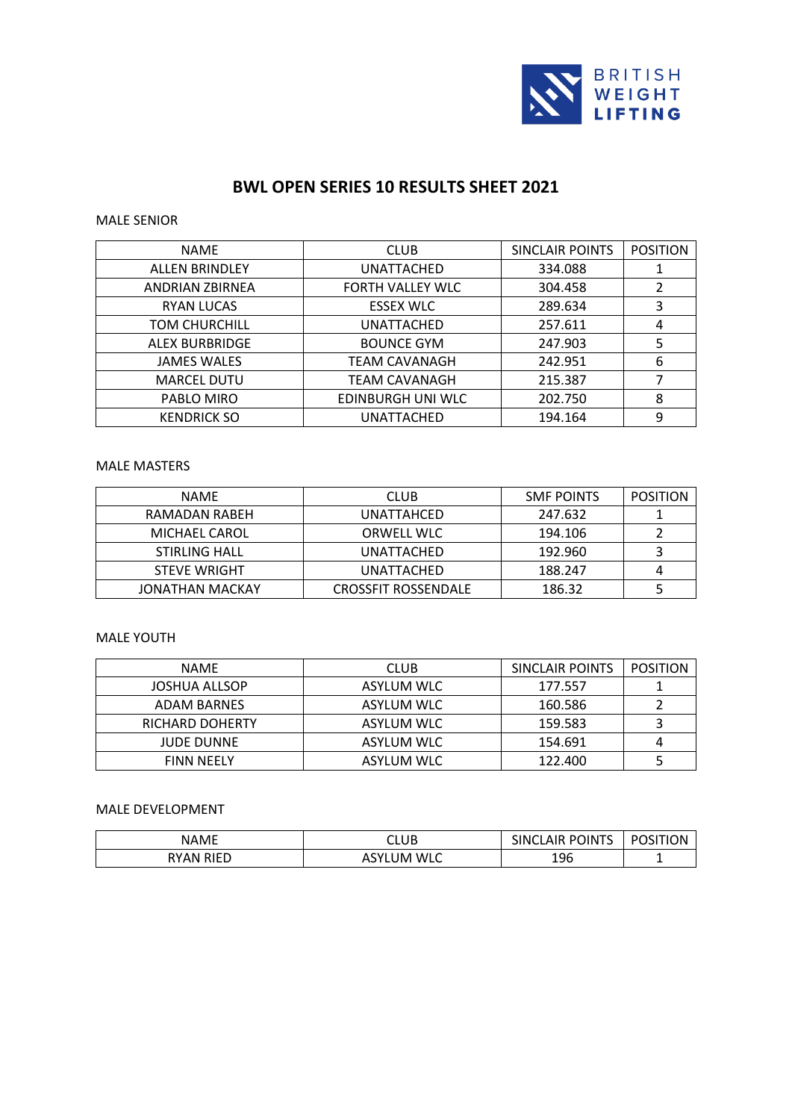

# **BWL OPEN SERIES 10 RESULTS SHEET 2021**

#### MALE SENIOR

| <b>NAME</b>            | <b>CLUB</b>          | SINCLAIR POINTS | <b>POSITION</b> |
|------------------------|----------------------|-----------------|-----------------|
| <b>ALLEN BRINDLEY</b>  | UNATTACHED           | 334.088         |                 |
| <b>ANDRIAN ZBIRNEA</b> | FORTH VALLEY WLC     | 304.458         | $\mathcal{P}$   |
| <b>RYAN LUCAS</b>      | <b>ESSEX WLC</b>     | 289.634         | 3               |
| <b>TOM CHURCHILL</b>   | UNATTACHED           | 257.611         | 4               |
| <b>ALEX BURBRIDGE</b>  | <b>BOUNCE GYM</b>    | 247.903         | 5               |
| <b>JAMES WALES</b>     | TEAM CAVANAGH        | 242.951         | 6               |
| <b>MARCEL DUTU</b>     | <b>TEAM CAVANAGH</b> | 215.387         |                 |
| PABLO MIRO             | EDINBURGH UNI WLC    | 202.750         | 8               |
| <b>KENDRICK SO</b>     | UNATTACHED           | 194.164         | 9               |

#### MALE MASTERS

| NAME                 | <b>CLUB</b>                | SMF POINTS | POSITION |
|----------------------|----------------------------|------------|----------|
| RAMADAN RABEH        | UNATTAHCED                 | 247.632    |          |
| MICHAEL CAROL        | <b>ORWELL WLC</b>          | 194.106    |          |
| <b>STIRLING HALL</b> | UNATTACHED                 | 192.960    |          |
| <b>STEVE WRIGHT</b>  | UNATTACHED                 | 188.247    |          |
| JONATHAN MACKAY      | <b>CROSSFIT ROSSENDALE</b> | 186.32     |          |

# MALE YOUTH

| <b>NAME</b>            | <b>CLUB</b>       | SINCLAIR POINTS | <b>POSITION</b> |
|------------------------|-------------------|-----------------|-----------------|
| JOSHUA ALLSOP          | ASYLUM WLC        | 177.557         |                 |
| ADAM BARNES            | <b>ASYLUM WLC</b> | 160.586         |                 |
| <b>RICHARD DOHERTY</b> | <b>ASYLUM WLC</b> | 159.583         |                 |
| <b>JUDE DUNNE</b>      | <b>ASYLUM WLC</b> | 154.691         |                 |
| <b>FINN NEELY</b>      | <b>ASYLUM WLC</b> | 122.400         |                 |

## MALE DEVELOPMENT

| <b>NAMF</b>                | CLUB                       | <b>POINTS</b><br><b>SINCL</b><br><b>AIR</b> | DС<br><b>SITION</b> |
|----------------------------|----------------------------|---------------------------------------------|---------------------|
| <b>RIFD</b><br><b>RYAN</b> | ʻLUM WLC<br>$\sim$<br>י כר | 196                                         |                     |